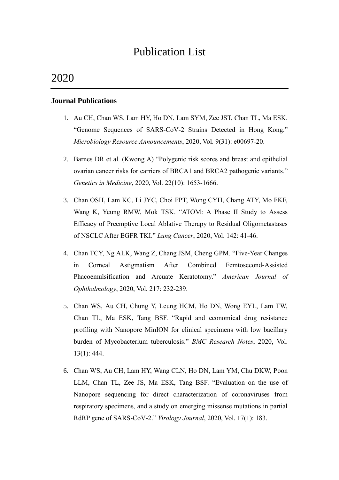# Publication List

# 2020

## **Journal Publications**

- 1. Au CH, Chan WS, Lam HY, Ho DN, Lam SYM, Zee JST, Chan TL, Ma ESK. "Genome Sequences of SARS-CoV-2 Strains Detected in Hong Kong." *Microbiology Resource Announcements*, 2020, Vol. 9(31): e00697-20.
- 2. Barnes DR et al. (Kwong A) "Polygenic risk scores and breast and epithelial ovarian cancer risks for carriers of BRCA1 and BRCA2 pathogenic variants." *Genetics in Medicine*, 2020, Vol. 22(10): 1653-1666.
- 3. Chan OSH, Lam KC, Li JYC, Choi FPT, Wong CYH, Chang ATY, Mo FKF, Wang K, Yeung RMW, Mok TSK. "ATOM: A Phase II Study to Assess Efficacy of Preemptive Local Ablative Therapy to Residual Oligometastases of NSCLC After EGFR TKI." *Lung Cancer*, 2020, Vol. 142: 41-46.
- 4. Chan TCY, Ng ALK, Wang Z, Chang JSM, Cheng GPM. "Five-Year Changes in Corneal Astigmatism After Combined Femtosecond-Assisted Phacoemulsification and Arcuate Keratotomy." *American Journal of Ophthalmology*, 2020, Vol. 217: 232-239.
- 5. Chan WS, Au CH, Chung Y, Leung HCM, Ho DN, Wong EYL, Lam TW, Chan TL, Ma ESK, Tang BSF. "Rapid and economical drug resistance profiling with Nanopore MinION for clinical specimens with low bacillary burden of Mycobacterium tuberculosis." *BMC Research Notes*, 2020, Vol. 13(1): 444.
- 6. Chan WS, Au CH, Lam HY, Wang CLN, Ho DN, Lam YM, Chu DKW, Poon LLM, Chan TL, Zee JS, Ma ESK, Tang BSF. "Evaluation on the use of Nanopore sequencing for direct characterization of coronaviruses from respiratory specimens, and a study on emerging missense mutations in partial RdRP gene of SARS-CoV-2." *Virology Journal*, 2020, Vol. 17(1): 183.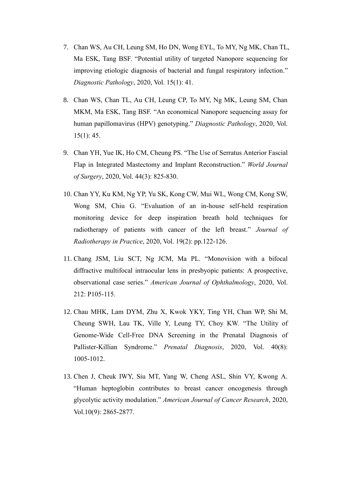- 7. Chan WS, Au CH, Leung SM, Ho DN, Wong EYL, To MY, Ng MK, Chan TL, Ma ESK, Tang BSF. "Potential utility of targeted Nanopore sequencing for improving etiologic diagnosis of bacterial and fungal respiratory infection." *Diagnostic Pathology*, 2020, Vol. 15(1): 41.
- 8. Chan WS, Chan TL, Au CH, Leung CP, To MY, Ng MK, Leung SM, Chan MKM, Ma ESK, Tang BSF. "An economical Nanopore sequencing assay for human papillomavirus (HPV) genotyping." *Diagnostic Pathology*, 2020, Vol. 15(1): 45.
- 9. Chan YH, Yue IK, Ho CM, Cheung PS. "The Use of Serratus Anterior Fascial Flap in Integrated Mastectomy and Implant Reconstruction." *World Journal of Surgery*, 2020, Vol. 44(3): 825-830.
- 10. Chan YY, Ku KM, Ng YP, Yu SK, Kong CW, Mui WL, Wong CM, Kong SW, Wong SM, Chiu G. "Evaluation of an in-house self-held respiration monitoring device for deep inspiration breath hold techniques for radiotherapy of patients with cancer of the left breast." *Journal of Radiotherapy in Practice*, 2020, Vol. 19(2): pp.122-126.
- 11. Chang JSM, Liu SCT, Ng JCM, Ma PL. "Monovision with a bifocal diffractive multifocal intraocular lens in presbyopic patients: A prospective, observational case series." *American Journal of Ophthalmology*, 2020, Vol. 212: P105-115.
- 12. Chau MHK, Lam DYM, Zhu X, Kwok YKY, Ting YH, Chan WP, Shi M, Cheung SWH, Lau TK, Ville Y, Leung TY, Choy KW. "The Utility of Genome-Wide Cell-Free DNA Screening in the Prenatal Diagnosis of Pallister-Killian Syndrome." *Prenatal Diagnosis*, 2020, Vol. 40(8): 1005-1012.
- 13. Chen J, Cheuk IWY, Siu MT, Yang W, Cheng ASL, Shin VY, Kwong A. "Human heptoglobin contributes to breast cancer oncogenesis through glycolytic activity modulation." *American Journal of Cancer Research*, 2020, Vol.10(9): 2865-2877.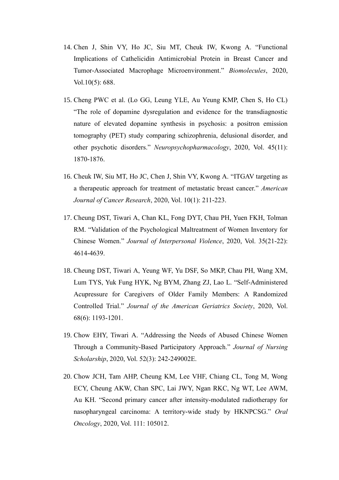- 14. Chen J, Shin VY, Ho JC, Siu MT, Cheuk IW, Kwong A. "Functional Implications of Cathelicidin Antimicrobial Protein in Breast Cancer and Tumor-Associated Macrophage Microenvironment." *Biomolecules*, 2020, Vol.10(5): 688.
- 15. Cheng PWC et al. (Lo GG, Leung YLE, Au Yeung KMP, Chen S, Ho CL) "The role of dopamine dysregulation and evidence for the transdiagnostic nature of elevated dopamine synthesis in psychosis: a positron emission tomography (PET) study comparing schizophrenia, delusional disorder, and other psychotic disorders." *Neuropsychopharmacology*, 2020, Vol. 45(11): 1870-1876.
- 16. Cheuk IW, Siu MT, Ho JC, Chen J, Shin VY, Kwong A. "ITGAV targeting as a therapeutic approach for treatment of metastatic breast cancer." *American Journal of Cancer Research*, 2020, Vol. 10(1): 211-223.
- 17. Cheung DST, Tiwari A, Chan KL, Fong DYT, Chau PH, Yuen FKH, Tolman RM. "Validation of the Psychological Maltreatment of Women Inventory for Chinese Women." *Journal of Interpersonal Violence*, 2020, Vol. 35(21-22): 4614-4639.
- 18. Cheung DST, Tiwari A, Yeung WF, Yu DSF, So MKP, Chau PH, Wang XM, Lum TYS, Yuk Fung HYK, Ng BYM, Zhang ZJ, Lao L. "Self-Administered Acupressure for Caregivers of Older Family Members: A Randomized Controlled Trial." *Journal of the American Geriatrics Society*, 2020, Vol. 68(6): 1193-1201.
- 19. Chow EHY, Tiwari A. "Addressing the Needs of Abused Chinese Women Through a Community-Based Participatory Approach." *Journal of Nursing Scholarship*, 2020, Vol. 52(3): 242-249002E.
- 20. Chow JCH, Tam AHP, Cheung KM, Lee VHF, Chiang CL, Tong M, Wong ECY, Cheung AKW, Chan SPC, Lai JWY, Ngan RKC, Ng WT, Lee AWM, Au KH. "Second primary cancer after intensity-modulated radiotherapy for nasopharyngeal carcinoma: A territory-wide study by HKNPCSG." *Oral Oncology*, 2020, Vol. 111: 105012.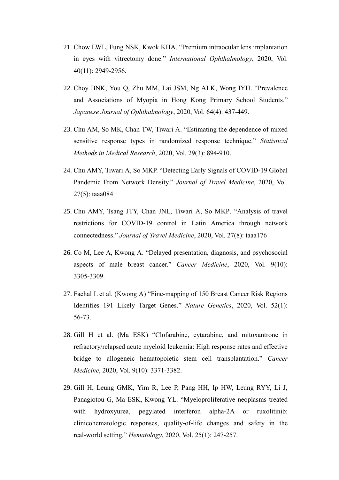- 21. Chow LWL, Fung NSK, Kwok KHA. "Premium intraocular lens implantation in eyes with vitrectomy done." *International Ophthalmology*, 2020, Vol. 40(11): 2949-2956.
- 22. Choy BNK, You Q, Zhu MM, Lai JSM, Ng ALK, Wong IYH. "Prevalence and Associations of Myopia in Hong Kong Primary School Students." *Japanese Journal of Ophthalmology*, 2020, Vol. 64(4): 437-449.
- 23. Chu AM, So MK, Chan TW, Tiwari A. "Estimating the dependence of mixed sensitive response types in randomized response technique." *Statistical Methods in Medical Research*, 2020, Vol. 29(3): 894-910.
- 24. Chu AMY, Tiwari A, So MKP. "Detecting Early Signals of COVID-19 Global Pandemic From Network Density." *Journal of Travel Medicine*, 2020, Vol. 27(5): taaa084
- 25. Chu AMY, Tsang JTY, Chan JNL, Tiwari A, So MKP. "Analysis of travel restrictions for COVID-19 control in Latin America through network connectedness." *Journal of Travel Medicine*, 2020, Vol. 27(8): taaa176
- 26. Co M, Lee A, Kwong A. "Delayed presentation, diagnosis, and psychosocial aspects of male breast cancer." *Cancer Medicine*, 2020, Vol. 9(10): 3305-3309.
- 27. Fachal L et al. (Kwong A) "Fine-mapping of 150 Breast Cancer Risk Regions Identifies 191 Likely Target Genes." *Nature Genetics*, 2020, Vol. 52(1): 56-73.
- 28. Gill H et al. (Ma ESK) "Clofarabine, cytarabine, and mitoxantrone in refractory/relapsed acute myeloid leukemia: High response rates and effective bridge to allogeneic hematopoietic stem cell transplantation." *Cancer Medicine*, 2020, Vol. 9(10): 3371-3382.
- 29. Gill H, Leung GMK, Yim R, Lee P, Pang HH, Ip HW, Leung RYY, Li J, Panagiotou G, Ma ESK, Kwong YL. "Myeloproliferative neoplasms treated with hydroxyurea, pegylated interferon alpha-2A or ruxolitinib: clinicohematologic responses, quality-of-life changes and safety in the real-world setting." *Hematology*, 2020, Vol. 25(1): 247-257.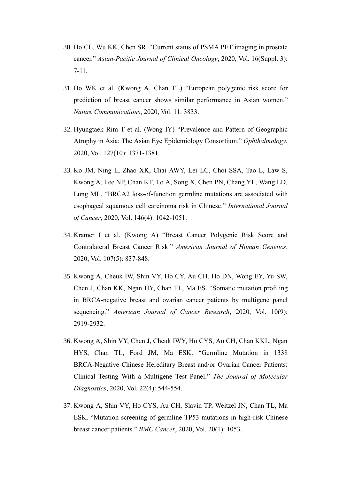- 30. Ho CL, Wu KK, Chen SR. "Current status of PSMA PET imaging in prostate cancer." *Asian-Pacific Journal of Clinical Oncology*, 2020, Vol. 16(Suppl. 3): 7-11.
- 31. Ho WK et al. (Kwong A, Chan TL) "European polygenic risk score for prediction of breast cancer shows similar performance in Asian women." *Nature Communications*, 2020, Vol. 11: 3833.
- 32. Hyungtaek Rim T et al. (Wong IY) "Prevalence and Pattern of Geographic Atrophy in Asia: The Asian Eye Epidemiology Consortium." *Ophthalmology*, 2020, Vol. 127(10): 1371-1381.
- 33. Ko JM, Ning L, Zhao XK, Chai AWY, Lei LC, Choi SSA, Tao L, Law S, Kwong A, Lee NP, Chan KT, Lo A, Song X, Chen PN, Chang YL, Wang LD, Lung ML. "BRCA2 loss-of-function germline mutations are associated with esophageal squamous cell carcinoma risk in Chinese." *International Journal of Cancer*, 2020, Vol. 146(4): 1042-1051.
- 34. Kramer I et al. (Kwong A) "Breast Cancer Polygenic Risk Score and Contralateral Breast Cancer Risk." *American Journal of Human Genetics*, 2020, Vol. 107(5): 837-848.
- 35. Kwong A, Cheuk IW, Shin VY, Ho CY, Au CH, Ho DN, Wong EY, Yu SW, Chen J, Chan KK, Ngan HY, Chan TL, Ma ES. "Somatic mutation profiling in BRCA-negative breast and ovarian cancer patients by multigene panel sequencing." *American Journal of Cancer Research*, 2020, Vol. 10(9): 2919-2932.
- 36. Kwong A, Shin VY, Chen J, Cheuk IWY, Ho CYS, Au CH, Chan KKL, Ngan HYS, Chan TL, Ford JM, Ma ESK. "Germline Mutation in 1338 BRCA-Negative Chinese Hereditary Breast and/or Ovarian Cancer Patients: Clinical Testing With a Multigene Test Panel." *The Jounral of Molecular Diagnostics*, 2020, Vol. 22(4): 544-554.
- 37. Kwong A, Shin VY, Ho CYS, Au CH, Slavin TP, Weitzel JN, Chan TL, Ma ESK. "Mutation screening of germline TP53 mutations in high-risk Chinese breast cancer patients." *BMC Cancer*, 2020, Vol. 20(1): 1053.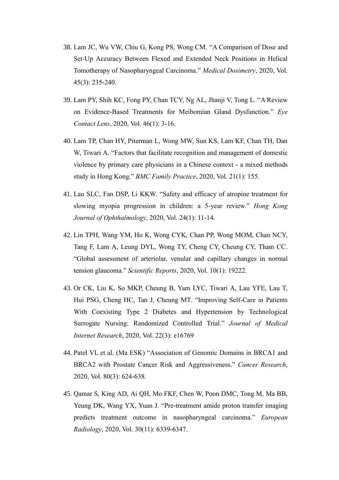- 38. Lam JC, Wu VW, Chiu G, Kong PS, Wong CM. "A Comparison of Dose and Set-Up Accuracy Between Flexed and Extended Neck Positions in Helical Tomotherapy of Nasopharyngeal Carcinoma." *Medical Dosimetry*, 2020, Vol. 45(3): 235-240.
- 39. Lam PY, Shih KC, Fong PY, Chan TCY, Ng AL, Jhanji V, Tong L. "A Review on Evidence-Based Treatments for Meibomian Gland Dysfunction." *Eye Contact Lens*, 2020, Vol. 46(1): 3-16.
- 40. Lam TP, Chan HY, Piterman L, Wong MW, Sun KS, Lam KF, Chan TH, Dan W, Tiwari A. "Factors that facilitate recognition and management of domestic violence by primary care physicians in a Chinese context - a mixed methods study in Hong Kong." *BMC Family Practice*, 2020, Vol. 21(1): 155.
- 41. Lau SLC, Fan DSP, Li KKW. "Safety and efficacy of atropine treatment for slowing myopia progression in children: a 5-year review." *Hong Kong Journal of Ophthalmology*, 2020, Vol. 24(1): 11-14.
- 42. Lin TPH, Wang YM, Ho K, Wong CYK, Chan PP, Wong MOM, Chan NCY, Tang F, Lam A, Leung DYL, Wong TY, Cheng CY, Cheung CY, Tham CC. "Global assessment of arteriolar, venular and capillary changes in normal tension glaucoma." *Scientific Reports*, 2020, Vol. 10(1): 19222.
- 43. Or CK, Liu K, So MKP, Cheung B, Yam LYC, Tiwari A, Lau YFE, Lau T, Hui PSG, Cheng HC, Tan J, Cheung MT. "Improving Self-Care in Patients With Coexisting Type 2 Diabetes and Hypertension by Technological Surrogate Nursing: Randomized Controlled Trial." *Journal of Medical Internet Research*, 2020, Vol. 22(3): e16769
- 44. Patel VL et al. (Ma ESK) "Association of Genomic Domains in BRCA1 and BRCA2 with Prostate Cancer Risk and Aggressiveness." *Cancer Research*, 2020, Vol. 80(3): 624-638.
- 45. Qamar S, King AD, Ai QH, Mo FKF, Chen W, Poon DMC, Tong M, Ma BB, Yeung DK, Wang YX, Yuan J. "Pre-treatment amide proton transfer imaging predicts treatment outcome in nasopharyngeal carcinoma." *European Radiology*, 2020, Vol. 30(11): 6339-6347.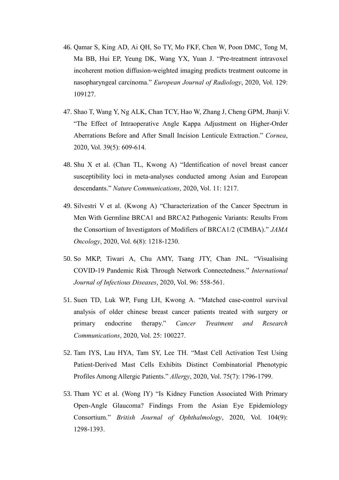- 46. Qamar S, King AD, Ai QH, So TY, Mo FKF, Chen W, Poon DMC, Tong M, Ma BB, Hui EP, Yeung DK, Wang YX, Yuan J. "Pre-treatment intravoxel incoherent motion diffusion-weighted imaging predicts treatment outcome in nasopharyngeal carcinoma." *European Journal of Radiology*, 2020, Vol. 129: 109127.
- 47. Shao T, Wang Y, Ng ALK, Chan TCY, Hao W, Zhang J, Cheng GPM, Jhanji V. "The Effect of Intraoperative Angle Kappa Adjustment on Higher-Order Aberrations Before and After Small Incision Lenticule Extraction." *Cornea*, 2020, Vol. 39(5): 609-614.
- 48. Shu X et al. (Chan TL, Kwong A) "Identification of novel breast cancer susceptibility loci in meta-analyses conducted among Asian and European descendants." *Nature Communications*, 2020, Vol. 11: 1217.
- 49. Silvestri V et al. (Kwong A) "Characterization of the Cancer Spectrum in Men With Germline BRCA1 and BRCA2 Pathogenic Variants: Results From the Consortium of Investigators of Modifiers of BRCA1/2 (CIMBA)." *JAMA Oncology*, 2020, Vol. 6(8): 1218-1230.
- 50. So MKP, Tiwari A, Chu AMY, Tsang JTY, Chan JNL. "Visualising COVID-19 Pandemic Risk Through Network Connectedness." *International Journal of Infectious Diseases*, 2020, Vol. 96: 558-561.
- 51. Suen TD, Luk WP, Fung LH, Kwong A. "Matched case-control survival analysis of older chinese breast cancer patients treated with surgery or primary endocrine therapy." *Cancer Treatment and Research Communications*, 2020, Vol. 25: 100227.
- 52. Tam IYS, Lau HYA, Tam SY, Lee TH. "Mast Cell Activation Test Using Patient-Derived Mast Cells Exhibits Distinct Combinatorial Phenotypic Profiles Among Allergic Patients." *Allergy*, 2020, Vol. 75(7): 1796-1799.
- 53. Tham YC et al. (Wong IY) "Is Kidney Function Associated With Primary Open-Angle Glaucoma? Findings From the Asian Eye Epidemiology Consortium." *British Journal of Ophthalmology*, 2020, Vol. 104(9): 1298-1393.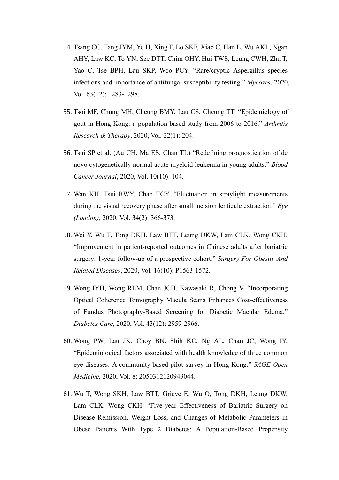- 54. Tsang CC, Tang JYM, Ye H, Xing F, Lo SKF, Xiao C, Han L, Wu AKL, Ngan AHY, Law KC, To YN, Sze DTT, Chim OHY, Hui TWS, Leung CWH, Zhu T, Yao C, Tse BPH, Lau SKP, Woo PCY. "Rare/cryptic Aspergillus species infections and importance of antifungal susceptibility testing." *Mycoses*, 2020, Vol. 63(12): 1283-1298.
- 55. Tsoi MF, Chung MH, Cheung BMY, Lau CS, Cheung TT. "Epidemiology of gout in Hong Kong: a population-based study from 2006 to 2016." *Arthritis Research & Therapy*, 2020, Vol. 22(1): 204.
- 56. Tsui SP et al. (Au CH, Ma ES, Chan TL) "Redefining prognostication of de novo cytogenetically normal acute myeloid leukemia in young adults." *Blood Cancer Journal*, 2020, Vol. 10(10): 104.
- 57. Wan KH, Tsui RWY, Chan TCY. "Fluctuation in straylight measurements during the visual recovery phase after small incision lenticule extraction." *Eye (London)*, 2020, Vol. 34(2): 366-373.
- 58. Wei Y, Wu T, Tong DKH, Law BTT, Leung DKW, Lam CLK, Wong CKH. "Improvement in patient-reported outcomes in Chinese adults after bariatric surgery: 1-year follow-up of a prospective cohort." *Surgery For Obesity And Related Diseases*, 2020, Vol. 16(10): P1563-1572.
- 59. Wong IYH, Wong RLM, Chan JCH, Kawasaki R, Chong V. "Incorporating Optical Coherence Tomography Macula Scans Enhances Cost-effectiveness of Fundus Photography-Based Screening for Diabetic Macular Edema." *Diabetes Care*, 2020, Vol. 43(12): 2959-2966.
- 60. Wong PW, Lau JK, Choy BN, Shih KC, Ng AL, Chan JC, Wong IY. "Epidemiological factors associated with health knowledge of three common eye diseases: A community-based pilot survey in Hong Kong." *SAGE Open Medicine*, 2020, Vol. 8: 2050312120943044.
- 61. Wu T, Wong SKH, Law BTT, Grieve E, Wu O, Tong DKH, Leung DKW, Lam CLK, Wong CKH. "Five-year Effectiveness of Bariatric Surgery on Disease Remission, Weight Loss, and Changes of Metabolic Parameters in Obese Patients With Type 2 Diabetes: A Population-Based Propensity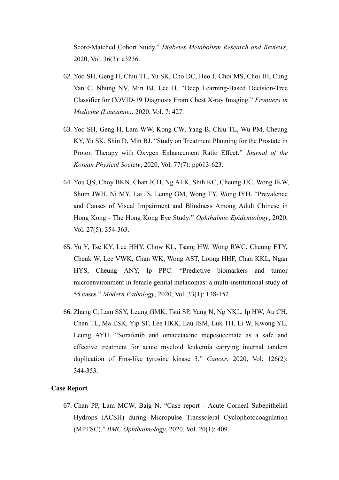Score-Matched Cohort Study." *Diabetes Metabolism Research and Reviews*, 2020, Vol. 36(3): e3236.

- 62. Yoo SH, Geng H, Chiu TL, Yu SK, Cho DC, Heo J, Choi MS, Choi IH, Cung Van C, Nhung NV, Min BJ, Lee H. "Deep Learning-Based Decision-Tree Classifier for COVID-19 Diagnosis From Chest X-ray Imaging." *Frontiers in Medicine (Lausanne)*, 2020, Vol. 7: 427.
- 63. Yoo SH, Geng H, Lam WW, Kong CW, Yang B, Chiu TL, Wu PM, Cheung KY, Yu SK, Shin D, Min BJ. "Study on Treatment Planning for the Prostate in Proton Therapy with Oxygen Enhancement Ratio Effect." *Journal of the Korean Physical Society*, 2020, Vol. 77(7): pp613-623.
- 64. You QS, Choy BKN, Chan JCH, Ng ALK, Shih KC, Cheung JJC, Wong JKW, Shum JWH, Ni MY, Lai JS, Leung GM, Wong TY, Wong IYH. "Prevalence and Causes of Visual Impairment and Blindness Among Adult Chinese in Hong Kong - The Hong Kong Eye Study." *Ophthalmic Epidemiology*, 2020, Vol. 27(5): 354-363.
- 65. Yu Y, Tse KY, Lee HHY, Chow KL, Tsang HW, Wong RWC, Cheung ETY, Cheuk W, Lee VWK, Chan WK, Wong AST, Loong HHF, Chan KKL, Ngan HYS, Cheung ANY, Ip PPC. "Predictive biomarkers and tumor microenvironment in female genital melanomas: a multi-institutional study of 55 cases." *Modern Pathology*, 2020, Vol. 33(1): 138-152.
- 66. Zhang C, Lam SSY, Leung GMK, Tsui SP, Yang N, Ng NKL, Ip HW, Au CH, Chan TL, Ma ESK, Yip SF, Lee HKK, Lau JSM, Luk TH, Li W, Kwong YL, Leung AYH. "Sorafenib and omacetaxine mepesuccinate as a safe and effective treatment for acute myeloid leukemia carrying internal tandem duplication of Fms-like tyrosine kinase 3." *Cancer*, 2020, Vol. 126(2): 344-353.

### **Case Report**

67. Chan PP, Lam MCW, Baig N. "Case report - Acute Corneal Subepithelial Hydrops (ACSH) during Micropulse Transscleral Cyclophotocoagulation (MPTSC)." *BMC Ophthalmology*, 2020, Vol. 20(1): 409.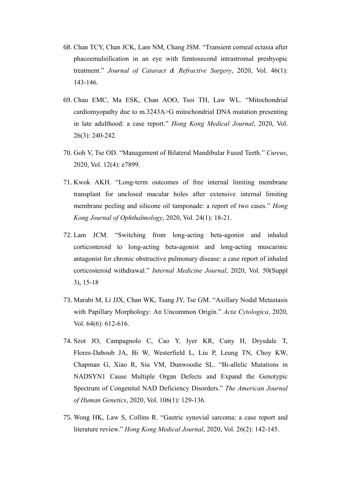- 68. Chan TCY, Chan JCK, Lam NM, Chang JSM. "Transient corneal ectasia after phacoemulsification in an eye with femtosecond intrastromal presbyopic treatment." *Journal of Cataract & Refractive Surgery*, 2020, Vol. 46(1): 143-146.
- 69. Chau EMC, Ma ESK, Chan AOO, Tsoi TH, Law WL. "Mitochondrial cardiomyopathy due to m.3243A>G mitochondrial DNA mutation presenting in late adulthood: a case report." *Hong Kong Medical Journal*, 2020, Vol. 26(3): 240-242.
- 70. Goh V, Tse OD. "Management of Bilateral Mandibular Fused Teeth." *Cureus*, 2020, Vol. 12(4): e7899.
- 71. Kwok AKH. "Long-term outcomes of free internal limiting membrane transplant for unclosed macular holes after extensive internal limiting membrane peeling and silicone oil tamponade: a report of two cases." *Hong Kong Journal of Ophthalmology*, 2020, Vol. 24(1): 18-21.
- 72. Lam JCM. "Switching from long-acting beta-agonist and inhaled corticosteroid to long-acting beta-agonist and long-acting muscarinic antagonist for chronic obstructive pulmonary disease: a case report of inhaled corticosteroid withdrawal." *Internal Medicine Journal*, 2020, Vol. 50(Suppl 3), 15-18
- 73. Marabi M, Li JJX, Chan WK, Tsang JY, Tse GM. "Axillary Nodal Metastasis with Papillary Morphology: An Uncommon Origin." *Acta Cytologica*, 2020, Vol. 64(6): 612-616.
- 74. Szot JO, Campagnolo C, Cao Y, Iyer KR, Cuny H, Drysdale T, Flores-Daboub JA, Bi W, Westerfield L, Liu P, Leung TN, Choy KW, Chapman G, Xiao R, Siu VM, Dunwoodie SL. "Bi-allelic Mutations in NADSYN1 Cause Multiple Organ Defects and Expand the Genotypic Spectrum of Congenital NAD Deficiency Disorders." *The American Journal of Human Genetics*, 2020, Vol. 106(1): 129-136.
- 75. Wong HK, Law S, Collins R. "Gastric synovial sarcoma: a case report and literature review." *Hong Kong Medical Journal*, 2020, Vol. 26(2): 142-145.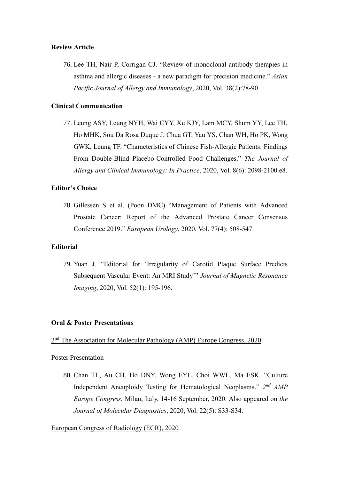## **Review Article**

76. Lee TH, Nair P, Corrigan CJ. "Review of monoclonal antibody therapies in asthma and allergic diseases - a new paradigm for precision medicine." *Asian Pacific Journal of Allergy and Immunology*, 2020, Vol. 38(2):78-90

# **Clinical Communication**

77. Leung ASY, Leung NYH, Wai CYY, Xu KJY, Lam MCY, Shum YY, Lee TH, Ho MHK, Sou Da Rosa Duque J, Chua GT, Yau YS, Chan WH, Ho PK, Wong GWK, Leung TF. "Characteristics of Chinese Fish-Allergic Patients: Findings From Double-Blind Placebo-Controlled Food Challenges." *The Journal of Allergy and Clinical Immunology: In Practice*, 2020, Vol. 8(6): 2098-2100.e8.

### **Editor's Choice**

78. Gillessen S et al. (Poon DMC) "Management of Patients with Advanced Prostate Cancer: Report of the Advanced Prostate Cancer Consensus Conference 2019." *European Urology*, 2020, Vol. 77(4): 508-547.

## **Editorial**

79. Yuan J. "Editorial for 'Irregularity of Carotid Plaque Surface Predicts Subsequent Vascular Event: An MRI Study'" *Journal of Magnetic Resonance Imaging*, 2020, Vol. 52(1): 195-196.

# **Oral & Poster Presentations**

# 2<sup>nd</sup> The Association for Molecular Pathology (AMP) Europe Congress, 2020

### Poster Presentation

80. Chan TL, Au CH, Ho DNY, Wong EYL, Choi WWL, Ma ESK. "Culture Independent Aneuploidy Testing for Hematological Neoplasms." 2<sup>nd</sup> AMP *Europe Congress*, Milan, Italy, 14-16 September, 2020. Also appeared on *the Journal of Molecular Diagnostics*, 2020, Vol. 22(5): S33-S34.

## European Congress of Radiology (ECR), 2020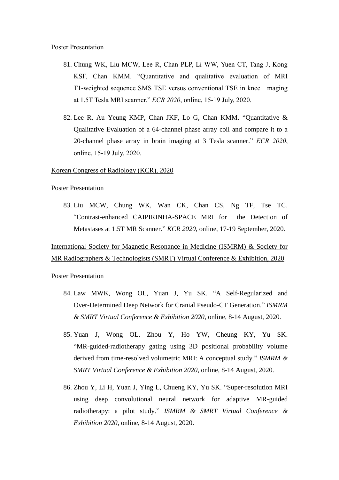- 81. Chung WK, Liu MCW, Lee R, Chan PLP, Li WW, Yuen CT, Tang J, Kong KSF, Chan KMM. "Quantitative and qualitative evaluation of MRI T1-weighted sequence SMS TSE versus conventional TSE in knee maging at 1.5T Tesla MRI scanner." *ECR 2020*, online, 15-19 July, 2020.
- 82. Lee R, Au Yeung KMP, Chan JKF, Lo G, Chan KMM. "Quantitative & Qualitative Evaluation of a 64-channel phase array coil and compare it to a 20-channel phase array in brain imaging at 3 Tesla scanner." *ECR 2020*, online, 15-19 July, 2020.

### Korean Congress of Radiology (KCR), 2020

Poster Presentation

83. Liu MCW, Chung WK, Wan CK, Chan CS, Ng TF, Tse TC. "Contrast-enhanced CAIPIRINHA-SPACE MRI for the Detection of Metastases at 1.5T MR Scanner." *KCR 2020*, online, 17-19 September, 2020.

International Society for Magnetic Resonance in Medicine (ISMRM) & Society for MR Radiographers & Technologists (SMRT) Virtual Conference & Exhibition, 2020

Poster Presentation

- 84. Law MWK, Wong OL, Yuan J, Yu SK. "A Self-Regularized and Over-Determined Deep Network for Cranial Pseudo-CT Generation." *ISMRM & SMRT Virtual Conference & Exhibition 2020*, online, 8-14 August, 2020.
- 85. Yuan J, Wong OL, Zhou Y, Ho YW, Cheung KY, Yu SK. "MR-guided-radiotherapy gating using 3D positional probability volume derived from time-resolved volumetric MRI: A conceptual study." *ISMRM & SMRT Virtual Conference & Exhibition 2020*, online, 8-14 August, 2020.
- 86. Zhou Y, Li H, Yuan J, Ying L, Chueng KY, Yu SK. "Super-resolution MRI using deep convolutional neural network for adaptive MR-guided radiotherapy: a pilot study." *ISMRM & SMRT Virtual Conference & Exhibition 2020*, online, 8-14 August, 2020.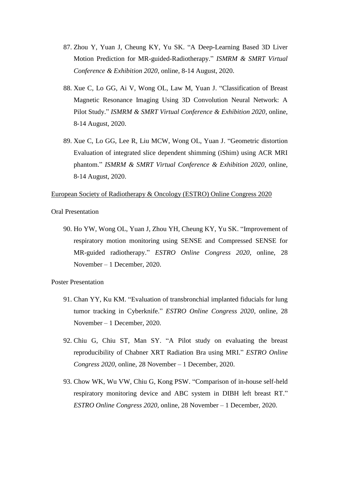- 87. Zhou Y, Yuan J, Cheung KY, Yu SK. "A Deep-Learning Based 3D Liver Motion Prediction for MR-guided-Radiotherapy." *ISMRM & SMRT Virtual Conference & Exhibition 2020*, online, 8-14 August, 2020.
- 88. Xue C, Lo GG, Ai V, Wong OL, Law M, Yuan J. "Classification of Breast Magnetic Resonance Imaging Using 3D Convolution Neural Network: A Pilot Study." *ISMRM & SMRT Virtual Conference & Exhibition 2020*, online, 8-14 August, 2020.
- 89. Xue C, Lo GG, Lee R, Liu MCW, Wong OL, Yuan J. "Geometric distortion Evaluation of integrated slice dependent shimming (iShim) using ACR MRI phantom." *ISMRM & SMRT Virtual Conference & Exhibition 2020*, online, 8-14 August, 2020.

#### European Society of Radiotherapy & Oncology (ESTRO) Online Congress 2020

Oral Presentation

90. Ho YW, Wong OL, Yuan J, Zhou YH, Cheung KY, Yu SK. "Improvement of respiratory motion monitoring using SENSE and Compressed SENSE for MR-guided radiotherapy." *ESTRO Online Congress 2020*, online, 28 November – 1 December, 2020.

Poster Presentation

- 91. Chan YY, Ku KM. "Evaluation of transbronchial implanted fiducials for lung tumor tracking in Cyberknife." *ESTRO Online Congress 2020*, online, 28 November – 1 December, 2020.
- 92. Chiu G, Chiu ST, Man SY. "A Pilot study on evaluating the breast reproducibility of Chabner XRT Radiation Bra using MRI." *ESTRO Online Congress 2020*, online, 28 November – 1 December, 2020.
- 93. Chow WK, Wu VW, Chiu G, Kong PSW. "Comparison of in-house self-held respiratory monitoring device and ABC system in DIBH left breast RT." *ESTRO Online Congress 2020*, online, 28 November – 1 December, 2020.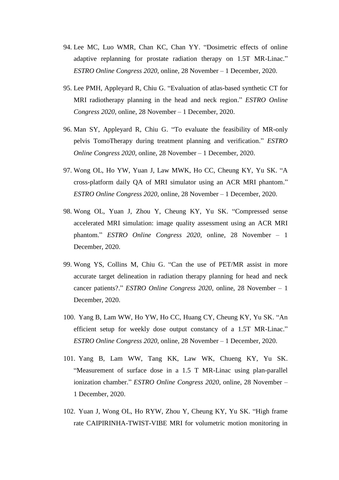- 94. Lee MC, Luo WMR, Chan KC, Chan YY. "Dosimetric effects of online adaptive replanning for prostate radiation therapy on 1.5T MR-Linac." *ESTRO Online Congress 2020*, online, 28 November – 1 December, 2020.
- 95. Lee PMH, Appleyard R, Chiu G. "Evaluation of atlas-based synthetic CT for MRI radiotherapy planning in the head and neck region." *ESTRO Online Congress 2020*, online, 28 November – 1 December, 2020.
- 96. Man SY, Appleyard R, Chiu G. "To evaluate the feasibility of MR-only pelvis TomoTherapy during treatment planning and verification." *ESTRO Online Congress 2020*, online, 28 November – 1 December, 2020.
- 97. Wong OL, Ho YW, Yuan J, Law MWK, Ho CC, Cheung KY, Yu SK. "A cross-platform daily QA of MRI simulator using an ACR MRI phantom." *ESTRO Online Congress 2020*, online, 28 November – 1 December, 2020.
- 98. Wong OL, Yuan J, Zhou Y, Cheung KY, Yu SK. "Compressed sense accelerated MRI simulation: image quality assessment using an ACR MRI phantom." *ESTRO Online Congress 2020*, online, 28 November – 1 December, 2020.
- 99. Wong YS, Collins M, Chiu G. "Can the use of PET/MR assist in more accurate target delineation in radiation therapy planning for head and neck cancer patients?." *ESTRO Online Congress 2020*, online, 28 November – 1 December, 2020.
- 100. Yang B, Lam WW, Ho YW, Ho CC, Huang CY, Cheung KY, Yu SK. "An efficient setup for weekly dose output constancy of a 1.5T MR-Linac." *ESTRO Online Congress 2020*, online, 28 November – 1 December, 2020.
- 101. Yang B, Lam WW, Tang KK, Law WK, Chueng KY, Yu SK. "Measurement of surface dose in a 1.5 T MR-Linac using plan-parallel ionization chamber." *ESTRO Online Congress 2020*, online, 28 November – 1 December, 2020.
- 102. Yuan J, Wong OL, Ho RYW, Zhou Y, Cheung KY, Yu SK. "High frame rate CAIPIRINHA-TWIST-VIBE MRI for volumetric motion monitoring in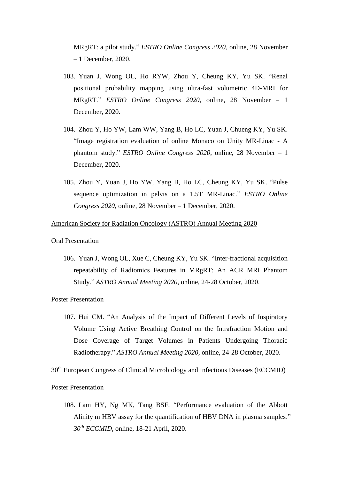MRgRT: a pilot study." *ESTRO Online Congress 2020*, online, 28 November – 1 December, 2020.

- 103. Yuan J, Wong OL, Ho RYW, Zhou Y, Cheung KY, Yu SK. "Renal positional probability mapping using ultra-fast volumetric 4D-MRI for MRgRT." *ESTRO Online Congress 2020*, online, 28 November – 1 December, 2020.
- 104. Zhou Y, Ho YW, Lam WW, Yang B, Ho LC, Yuan J, Chueng KY, Yu SK. "Image registration evaluation of online Monaco on Unity MR-Linac - A phantom study." *ESTRO Online Congress 2020*, online, 28 November – 1 December, 2020.
- 105. Zhou Y, Yuan J, Ho YW, Yang B, Ho LC, Cheung KY, Yu SK. "Pulse sequence optimization in pelvis on a 1.5T MR-Linac." *ESTRO Online Congress 2020*, online, 28 November – 1 December, 2020.

#### American Society for Radiation Oncology (ASTRO) Annual Meeting 2020

# Oral Presentation

106. Yuan J, Wong OL, Xue C, Cheung KY, Yu SK. "Inter-fractional acquisition repeatability of Radiomics Features in MRgRT: An ACR MRI Phantom Study." *ASTRO Annual Meeting 2020*, online, 24-28 October, 2020.

### Poster Presentation

107. Hui CM. "An Analysis of the Impact of Different Levels of Inspiratory Volume Using Active Breathing Control on the Intrafraction Motion and Dose Coverage of Target Volumes in Patients Undergoing Thoracic Radiotherapy." *ASTRO Annual Meeting 2020*, online, 24-28 October, 2020.

30<sup>th</sup> European Congress of Clinical Microbiology and Infectious Diseases (ECCMID)

## Poster Presentation

108. Lam HY, Ng MK, Tang BSF. "Performance evaluation of the Abbott Alinity m HBV assay for the quantification of HBV DNA in plasma samples." *30th ECCMID*, online, 18-21 April, 2020.